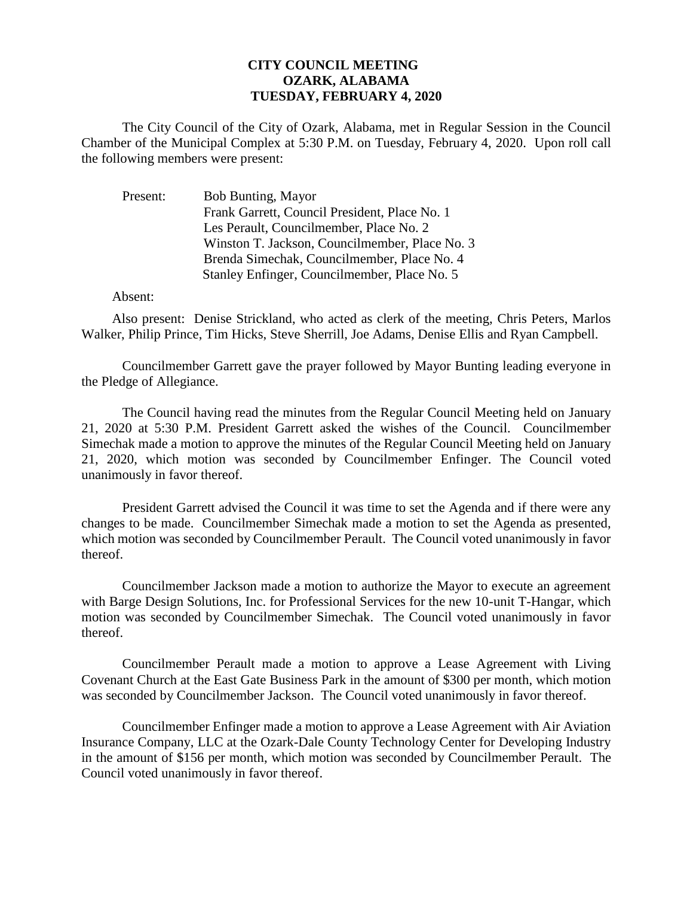## **CITY COUNCIL MEETING OZARK, ALABAMA TUESDAY, FEBRUARY 4, 2020**

The City Council of the City of Ozark, Alabama, met in Regular Session in the Council Chamber of the Municipal Complex at 5:30 P.M. on Tuesday, February 4, 2020. Upon roll call the following members were present:

Present: Bob Bunting, Mayor Frank Garrett, Council President, Place No. 1 Les Perault, Councilmember, Place No. 2 Winston T. Jackson, Councilmember, Place No. 3 Brenda Simechak, Councilmember, Place No. 4 Stanley Enfinger, Councilmember, Place No. 5

## Absent:

Also present: Denise Strickland, who acted as clerk of the meeting, Chris Peters, Marlos Walker, Philip Prince, Tim Hicks, Steve Sherrill, Joe Adams, Denise Ellis and Ryan Campbell.

Councilmember Garrett gave the prayer followed by Mayor Bunting leading everyone in the Pledge of Allegiance.

The Council having read the minutes from the Regular Council Meeting held on January 21, 2020 at 5:30 P.M. President Garrett asked the wishes of the Council. Councilmember Simechak made a motion to approve the minutes of the Regular Council Meeting held on January 21, 2020, which motion was seconded by Councilmember Enfinger. The Council voted unanimously in favor thereof.

President Garrett advised the Council it was time to set the Agenda and if there were any changes to be made. Councilmember Simechak made a motion to set the Agenda as presented, which motion was seconded by Councilmember Perault. The Council voted unanimously in favor thereof.

Councilmember Jackson made a motion to authorize the Mayor to execute an agreement with Barge Design Solutions, Inc. for Professional Services for the new 10-unit T-Hangar, which motion was seconded by Councilmember Simechak. The Council voted unanimously in favor thereof.

Councilmember Perault made a motion to approve a Lease Agreement with Living Covenant Church at the East Gate Business Park in the amount of \$300 per month, which motion was seconded by Councilmember Jackson. The Council voted unanimously in favor thereof.

Councilmember Enfinger made a motion to approve a Lease Agreement with Air Aviation Insurance Company, LLC at the Ozark-Dale County Technology Center for Developing Industry in the amount of \$156 per month, which motion was seconded by Councilmember Perault. The Council voted unanimously in favor thereof.